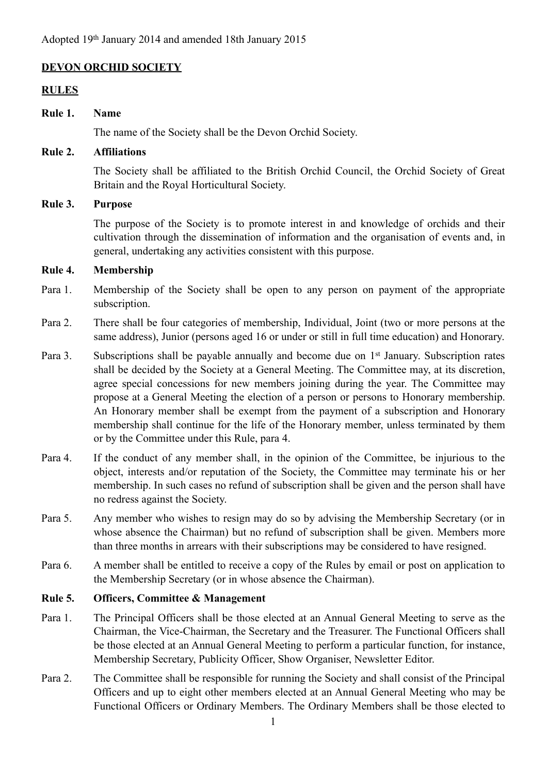### **DEVON ORCHID SOCIETY**

#### **RULES**

#### **Rule 1. Name**

The name of the Society shall be the Devon Orchid Society.

#### **Rule 2. Affiliations**

The Society shall be affiliated to the British Orchid Council, the Orchid Society of Great Britain and the Royal Horticultural Society.

#### **Rule 3. Purpose**

The purpose of the Society is to promote interest in and knowledge of orchids and their cultivation through the dissemination of information and the organisation of events and, in general, undertaking any activities consistent with this purpose.

#### **Rule 4. Membership**

- Para 1. Membership of the Society shall be open to any person on payment of the appropriate subscription.
- Para 2. There shall be four categories of membership, Individual, Joint (two or more persons at the same address), Junior (persons aged 16 or under or still in full time education) and Honorary.
- Para 3. Subscriptions shall be payable annually and become due on 1<sup>st</sup> January. Subscription rates shall be decided by the Society at a General Meeting. The Committee may, at its discretion, agree special concessions for new members joining during the year. The Committee may propose at a General Meeting the election of a person or persons to Honorary membership. An Honorary member shall be exempt from the payment of a subscription and Honorary membership shall continue for the life of the Honorary member, unless terminated by them or by the Committee under this Rule, para 4.
- Para 4. If the conduct of any member shall, in the opinion of the Committee, be injurious to the object, interests and/or reputation of the Society, the Committee may terminate his or her membership. In such cases no refund of subscription shall be given and the person shall have no redress against the Society.
- Para 5. Any member who wishes to resign may do so by advising the Membership Secretary (or in whose absence the Chairman) but no refund of subscription shall be given. Members more than three months in arrears with their subscriptions may be considered to have resigned.
- Para 6. A member shall be entitled to receive a copy of the Rules by email or post on application to the Membership Secretary (or in whose absence the Chairman).

#### **Rule 5. Officers, Committee & Management**

- Para 1. The Principal Officers shall be those elected at an Annual General Meeting to serve as the Chairman, the Vice-Chairman, the Secretary and the Treasurer. The Functional Officers shall be those elected at an Annual General Meeting to perform a particular function, for instance, Membership Secretary, Publicity Officer, Show Organiser, Newsletter Editor.
- Para 2. The Committee shall be responsible for running the Society and shall consist of the Principal Officers and up to eight other members elected at an Annual General Meeting who may be Functional Officers or Ordinary Members. The Ordinary Members shall be those elected to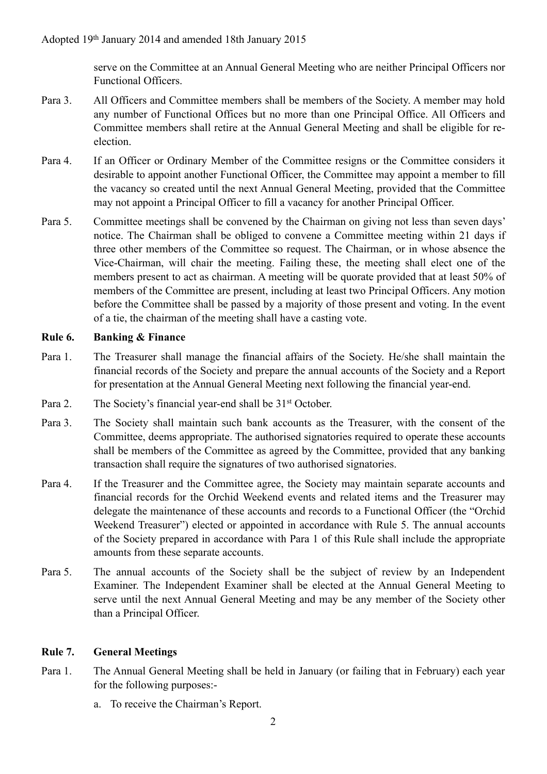serve on the Committee at an Annual General Meeting who are neither Principal Officers nor Functional Officers.

- Para 3. All Officers and Committee members shall be members of the Society. A member may hold any number of Functional Offices but no more than one Principal Office. All Officers and Committee members shall retire at the Annual General Meeting and shall be eligible for reelection.
- Para 4. If an Officer or Ordinary Member of the Committee resigns or the Committee considers it desirable to appoint another Functional Officer, the Committee may appoint a member to fill the vacancy so created until the next Annual General Meeting, provided that the Committee may not appoint a Principal Officer to fill a vacancy for another Principal Officer.
- Para 5. Committee meetings shall be convened by the Chairman on giving not less than seven days' notice. The Chairman shall be obliged to convene a Committee meeting within 21 days if three other members of the Committee so request. The Chairman, or in whose absence the Vice-Chairman, will chair the meeting. Failing these, the meeting shall elect one of the members present to act as chairman. A meeting will be quorate provided that at least 50% of members of the Committee are present, including at least two Principal Officers. Any motion before the Committee shall be passed by a majority of those present and voting. In the event of a tie, the chairman of the meeting shall have a casting vote.

### **Rule 6. Banking & Finance**

- Para 1. The Treasurer shall manage the financial affairs of the Society. He/she shall maintain the financial records of the Society and prepare the annual accounts of the Society and a Report for presentation at the Annual General Meeting next following the financial year-end.
- Para 2. The Society's financial year-end shall be 31<sup>st</sup> October.
- Para 3. The Society shall maintain such bank accounts as the Treasurer, with the consent of the Committee, deems appropriate. The authorised signatories required to operate these accounts shall be members of the Committee as agreed by the Committee, provided that any banking transaction shall require the signatures of two authorised signatories.
- Para 4. If the Treasurer and the Committee agree, the Society may maintain separate accounts and financial records for the Orchid Weekend events and related items and the Treasurer may delegate the maintenance of these accounts and records to a Functional Officer (the "Orchid Weekend Treasurer") elected or appointed in accordance with Rule 5. The annual accounts of the Society prepared in accordance with Para 1 of this Rule shall include the appropriate amounts from these separate accounts.
- Para 5. The annual accounts of the Society shall be the subject of review by an Independent Examiner. The Independent Examiner shall be elected at the Annual General Meeting to serve until the next Annual General Meeting and may be any member of the Society other than a Principal Officer.

### **Rule 7. General Meetings**

- Para 1. The Annual General Meeting shall be held in January (or failing that in February) each year for the following purposes:
	- a. To receive the Chairman's Report.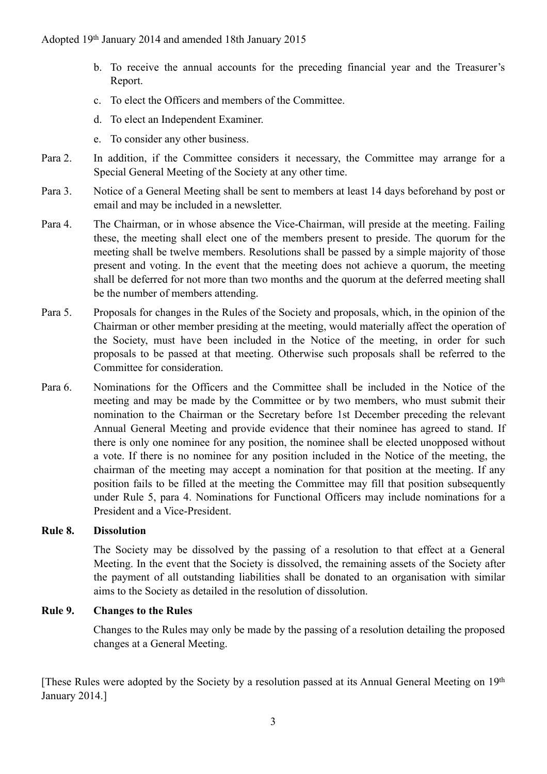- b. To receive the annual accounts for the preceding financial year and the Treasurer's Report.
- c. To elect the Officers and members of the Committee.
- d. To elect an Independent Examiner.
- e. To consider any other business.
- Para 2. In addition, if the Committee considers it necessary, the Committee may arrange for a Special General Meeting of the Society at any other time.
- Para 3. Notice of a General Meeting shall be sent to members at least 14 days beforehand by post or email and may be included in a newsletter.
- Para 4. The Chairman, or in whose absence the Vice-Chairman, will preside at the meeting. Failing these, the meeting shall elect one of the members present to preside. The quorum for the meeting shall be twelve members. Resolutions shall be passed by a simple majority of those present and voting. In the event that the meeting does not achieve a quorum, the meeting shall be deferred for not more than two months and the quorum at the deferred meeting shall be the number of members attending.
- Para 5. Proposals for changes in the Rules of the Society and proposals, which, in the opinion of the Chairman or other member presiding at the meeting, would materially affect the operation of the Society, must have been included in the Notice of the meeting, in order for such proposals to be passed at that meeting. Otherwise such proposals shall be referred to the Committee for consideration.
- Para 6. Nominations for the Officers and the Committee shall be included in the Notice of the meeting and may be made by the Committee or by two members, who must submit their nomination to the Chairman or the Secretary before 1st December preceding the relevant Annual General Meeting and provide evidence that their nominee has agreed to stand. If there is only one nominee for any position, the nominee shall be elected unopposed without a vote. If there is no nominee for any position included in the Notice of the meeting, the chairman of the meeting may accept a nomination for that position at the meeting. If any position fails to be filled at the meeting the Committee may fill that position subsequently under Rule 5, para 4. Nominations for Functional Officers may include nominations for a President and a Vice-President.

## **Rule 8. Dissolution**

 The Society may be dissolved by the passing of a resolution to that effect at a General Meeting. In the event that the Society is dissolved, the remaining assets of the Society after the payment of all outstanding liabilities shall be donated to an organisation with similar aims to the Society as detailed in the resolution of dissolution.

### **Rule 9. Changes to the Rules**

Changes to the Rules may only be made by the passing of a resolution detailing the proposed changes at a General Meeting.

[These Rules were adopted by the Society by a resolution passed at its Annual General Meeting on 19th January 2014.]